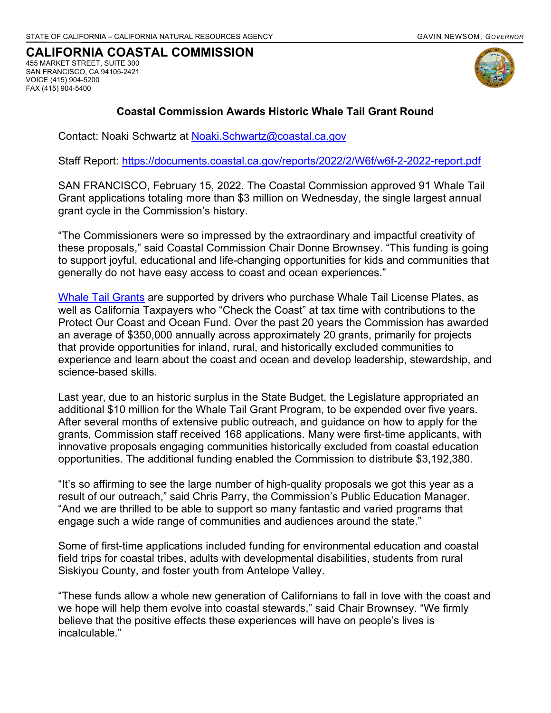#### **CALIFORNIA COASTAL COMMISSION** 455 MARKET STREET, SUITE 300

SAN FRANCISCO, CA 94105-2421 VOICE (415) 904-5200 FAX (415) 904-5400



### **Coastal Commission Awards Historic Whale Tail Grant Round**

Contact: Noaki Schwartz at [Noaki.Schwartz@coastal.ca.gov](mailto:Noaki.Schwartz@coastal.ca.gov)

Staff Report:<https://documents.coastal.ca.gov/reports/2022/2/W6f/w6f-2-2022-report.pdf>

SAN FRANCISCO, February 15, 2022. The Coastal Commission approved 91 Whale Tail Grant applications totaling more than \$3 million on Wednesday, the single largest annual grant cycle in the Commission's history.

"The Commissioners were so impressed by the extraordinary and impactful creativity of these proposals," said Coastal Commission Chair Donne Brownsey. "This funding is going to support joyful, educational and life-changing opportunities for kids and communities that generally do not have easy access to coast and ocean experiences."

[Whale Tail Grants](https://www.coastal.ca.gov/whaletailgrant/) are supported by drivers who purchase Whale Tail License Plates, as well as California Taxpayers who "Check the Coast" at tax time with contributions to the Protect Our Coast and Ocean Fund. Over the past 20 years the Commission has awarded an average of \$350,000 annually across approximately 20 grants, primarily for projects that provide opportunities for inland, rural, and historically excluded communities to experience and learn about the coast and ocean and develop leadership, stewardship, and science-based skills.

Last year, due to an historic surplus in the State Budget, the Legislature appropriated an additional \$10 million for the Whale Tail Grant Program, to be expended over five years. After several months of extensive public outreach, and guidance on how to apply for the grants, Commission staff received 168 applications. Many were first-time applicants, with innovative proposals engaging communities historically excluded from coastal education opportunities. The additional funding enabled the Commission to distribute \$3,192,380.

"It's so affirming to see the large number of high-quality proposals we got this year as a result of our outreach," said Chris Parry, the Commission's Public Education Manager. "And we are thrilled to be able to support so many fantastic and varied programs that engage such a wide range of communities and audiences around the state."

Some of first-time applications included funding for environmental education and coastal field trips for coastal tribes, adults with developmental disabilities, students from rural Siskiyou County, and foster youth from Antelope Valley.

"These funds allow a whole new generation of Californians to fall in love with the coast and we hope will help them evolve into coastal stewards," said Chair Brownsey. "We firmly believe that the positive effects these experiences will have on people's lives is incalculable."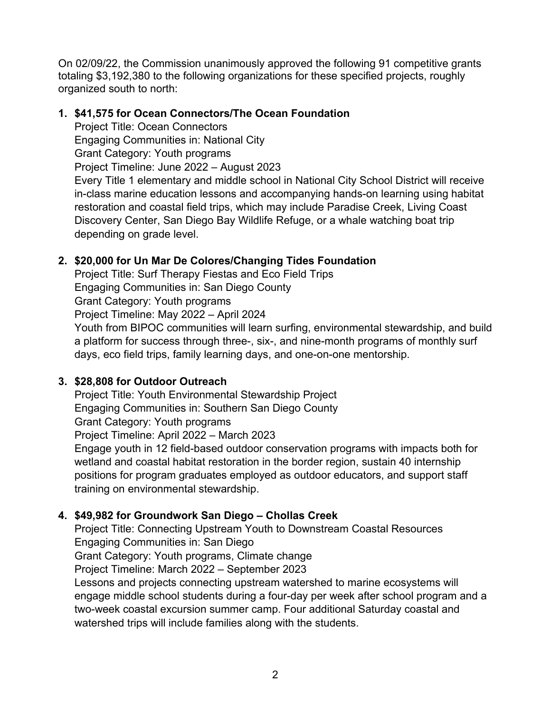On 02/09/22, the Commission unanimously approved the following 91 competitive grants totaling \$3,192,380 to the following organizations for these specified projects, roughly organized south to north:

## **1. \$41,575 for Ocean Connectors/The Ocean Foundation**

Project Title: Ocean Connectors

Engaging Communities in: National City

Grant Category: Youth programs

Project Timeline: June 2022 – August 2023

Every Title 1 elementary and middle school in National City School District will receive in-class marine education lessons and accompanying hands-on learning using habitat restoration and coastal field trips, which may include Paradise Creek, Living Coast Discovery Center, San Diego Bay Wildlife Refuge, or a whale watching boat trip depending on grade level.

# **2. \$20,000 for Un Mar De Colores/Changing Tides Foundation**

Project Title: Surf Therapy Fiestas and Eco Field Trips Engaging Communities in: San Diego County Grant Category: Youth programs Project Timeline: May 2022 – April 2024

Youth from BIPOC communities will learn surfing, environmental stewardship, and build a platform for success through three-, six-, and nine-month programs of monthly surf days, eco field trips, family learning days, and one-on-one mentorship.

# **3. \$28,808 for Outdoor Outreach**

Project Title: Youth Environmental Stewardship Project Engaging Communities in: Southern San Diego County Grant Category: Youth programs Project Timeline: April 2022 – March 2023 Engage youth in 12 field-based outdoor conservation programs with impacts both for wetland and coastal habitat restoration in the border region, sustain 40 internship positions for program graduates employed as outdoor educators, and support staff

training on environmental stewardship.

# **4. \$49,982 for Groundwork San Diego – Chollas Creek**

Project Title: Connecting Upstream Youth to Downstream Coastal Resources Engaging Communities in: San Diego Grant Category: Youth programs, Climate change Project Timeline: March 2022 – September 2023 Lessons and projects connecting upstream watershed to marine ecosystems will

engage middle school students during a four-day per week after school program and a two-week coastal excursion summer camp. Four additional Saturday coastal and watershed trips will include families along with the students.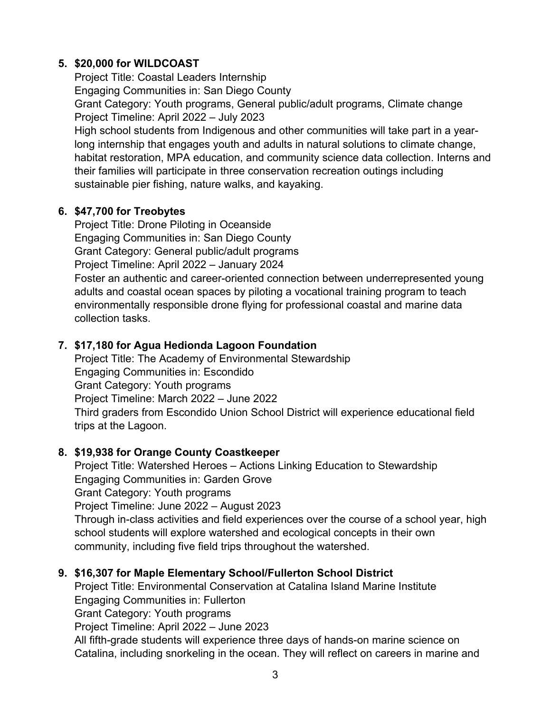## **5. \$20,000 for WILDCOAST**

Project Title: Coastal Leaders Internship Engaging Communities in: San Diego County Grant Category: Youth programs, General public/adult programs, Climate change Project Timeline: April 2022 – July 2023 High school students from Indigenous and other communities will take part in a yearlong internship that engages youth and adults in natural solutions to climate change, habitat restoration, MPA education, and community science data collection. Interns and their families will participate in three conservation recreation outings including sustainable pier fishing, nature walks, and kayaking.

## **6. \$47,700 for Treobytes**

Project Title: Drone Piloting in Oceanside Engaging Communities in: San Diego County Grant Category: General public/adult programs Project Timeline: April 2022 – January 2024

Foster an authentic and career-oriented connection between underrepresented young adults and coastal ocean spaces by piloting a vocational training program to teach environmentally responsible drone flying for professional coastal and marine data collection tasks.

## **7. \$17,180 for Agua Hedionda Lagoon Foundation**

Project Title: The Academy of Environmental Stewardship Engaging Communities in: Escondido Grant Category: Youth programs Project Timeline: March 2022 – June 2022 Third graders from Escondido Union School District will experience educational field trips at the Lagoon.

# **8. \$19,938 for Orange County Coastkeeper**

Project Title: Watershed Heroes – Actions Linking Education to Stewardship Engaging Communities in: Garden Grove Grant Category: Youth programs Project Timeline: June 2022 – August 2023 Through in-class activities and field experiences over the course of a school year, high school students will explore watershed and ecological concepts in their own community, including five field trips throughout the watershed.

# **9. \$16,307 for Maple Elementary School/Fullerton School District**

Project Title: Environmental Conservation at Catalina Island Marine Institute Engaging Communities in: Fullerton Grant Category: Youth programs Project Timeline: April 2022 – June 2023 All fifth-grade students will experience three days of hands-on marine science on Catalina, including snorkeling in the ocean. They will reflect on careers in marine and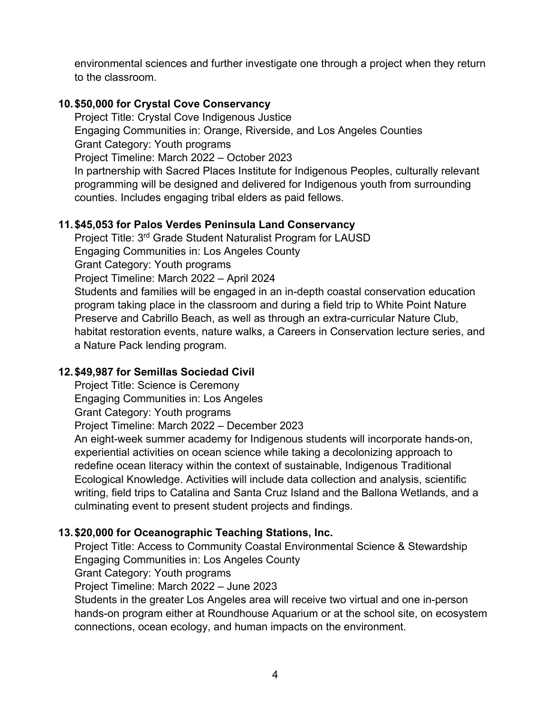environmental sciences and further investigate one through a project when they return to the classroom.

## **10.\$50,000 for Crystal Cove Conservancy**

Project Title: Crystal Cove Indigenous Justice Engaging Communities in: Orange, Riverside, and Los Angeles Counties Grant Category: Youth programs Project Timeline: March 2022 – October 2023

In partnership with Sacred Places Institute for Indigenous Peoples, culturally relevant programming will be designed and delivered for Indigenous youth from surrounding counties. Includes engaging tribal elders as paid fellows.

## **11.\$45,053 for Palos Verdes Peninsula Land Conservancy**

Project Title: 3<sup>rd</sup> Grade Student Naturalist Program for LAUSD Engaging Communities in: Los Angeles County Grant Category: Youth programs Project Timeline: March 2022 – April 2024 Students and families will be engaged in an in-depth coastal conservation education program taking place in the classroom and during a field trip to White Point Nature Preserve and Cabrillo Beach, as well as through an extra-curricular Nature Club, habitat restoration events, nature walks, a Careers in Conservation lecture series, and a Nature Pack lending program.

### **12.\$49,987 for Semillas Sociedad Civil**

Project Title: Science is Ceremony Engaging Communities in: Los Angeles Grant Category: Youth programs Project Timeline: March 2022 – December 2023

An eight-week summer academy for Indigenous students will incorporate hands-on, experiential activities on ocean science while taking a decolonizing approach to redefine ocean literacy within the context of sustainable, Indigenous Traditional Ecological Knowledge. Activities will include data collection and analysis, scientific writing, field trips to Catalina and Santa Cruz Island and the Ballona Wetlands, and a culminating event to present student projects and findings.

# **13.\$20,000 for Oceanographic Teaching Stations, Inc.**

Project Title: Access to Community Coastal Environmental Science & Stewardship Engaging Communities in: Los Angeles County

Grant Category: Youth programs

Project Timeline: March 2022 – June 2023

Students in the greater Los Angeles area will receive two virtual and one in-person hands-on program either at Roundhouse Aquarium or at the school site, on ecosystem connections, ocean ecology, and human impacts on the environment.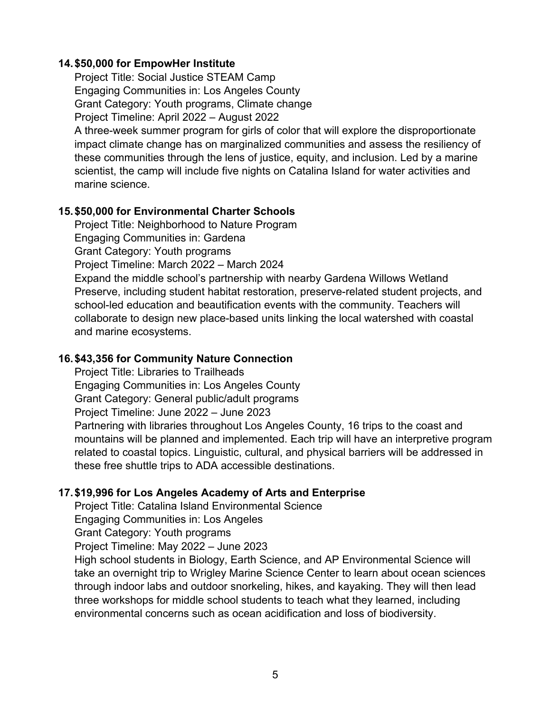#### **14.\$50,000 for EmpowHer Institute**

Project Title: Social Justice STEAM Camp Engaging Communities in: Los Angeles County Grant Category: Youth programs, Climate change Project Timeline: April 2022 – August 2022

A three-week summer program for girls of color that will explore the disproportionate impact climate change has on marginalized communities and assess the resiliency of these communities through the lens of justice, equity, and inclusion. Led by a marine scientist, the camp will include five nights on Catalina Island for water activities and marine science.

#### **15.\$50,000 for Environmental Charter Schools**

Project Title: Neighborhood to Nature Program Engaging Communities in: Gardena Grant Category: Youth programs Project Timeline: March 2022 – March 2024

Expand the middle school's partnership with nearby Gardena Willows Wetland Preserve, including student habitat restoration, preserve-related student projects, and school-led education and beautification events with the community. Teachers will collaborate to design new place-based units linking the local watershed with coastal and marine ecosystems.

#### **16.\$43,356 for Community Nature Connection**

Project Title: Libraries to Trailheads Engaging Communities in: Los Angeles County Grant Category: General public/adult programs Project Timeline: June 2022 – June 2023 Partnering with libraries throughout Los Angeles County, 16 trips to the coast and mountains will be planned and implemented. Each trip will have an interpretive program related to coastal topics. Linguistic, cultural, and physical barriers will be addressed in these free shuttle trips to ADA accessible destinations.

### **17.\$19,996 for Los Angeles Academy of Arts and Enterprise**

Project Title: Catalina Island Environmental Science

Engaging Communities in: Los Angeles

Grant Category: Youth programs

Project Timeline: May 2022 – June 2023

High school students in Biology, Earth Science, and AP Environmental Science will take an overnight trip to Wrigley Marine Science Center to learn about ocean sciences through indoor labs and outdoor snorkeling, hikes, and kayaking. They will then lead three workshops for middle school students to teach what they learned, including environmental concerns such as ocean acidification and loss of biodiversity.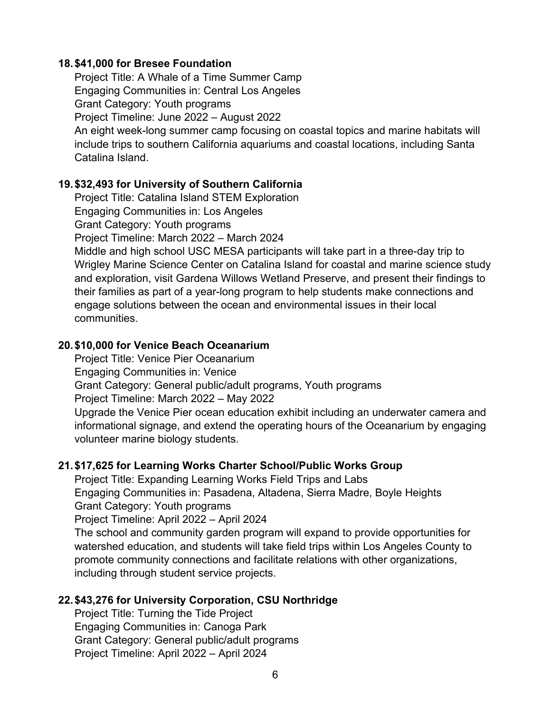#### **18.\$41,000 for Bresee Foundation**

Project Title: A Whale of a Time Summer Camp Engaging Communities in: Central Los Angeles Grant Category: Youth programs Project Timeline: June 2022 – August 2022 An eight week-long summer camp focusing on coastal topics and marine habitats will include trips to southern California aquariums and coastal locations, including Santa Catalina Island.

### **19.\$32,493 for University of Southern California**

Project Title: Catalina Island STEM Exploration Engaging Communities in: Los Angeles Grant Category: Youth programs

Project Timeline: March 2022 – March 2024

Middle and high school USC MESA participants will take part in a three-day trip to Wrigley Marine Science Center on Catalina Island for coastal and marine science study and exploration, visit Gardena Willows Wetland Preserve, and present their findings to their families as part of a year-long program to help students make connections and engage solutions between the ocean and environmental issues in their local communities.

#### **20.\$10,000 for Venice Beach Oceanarium**

Project Title: Venice Pier Oceanarium Engaging Communities in: Venice Grant Category: General public/adult programs, Youth programs Project Timeline: March 2022 – May 2022 Upgrade the Venice Pier ocean education exhibit including an underwater camera and informational signage, and extend the operating hours of the Oceanarium by engaging

volunteer marine biology students.

### **21.\$17,625 for Learning Works Charter School/Public Works Group**

Project Title: Expanding Learning Works Field Trips and Labs Engaging Communities in: Pasadena, Altadena, Sierra Madre, Boyle Heights Grant Category: Youth programs

Project Timeline: April 2022 – April 2024

The school and community garden program will expand to provide opportunities for watershed education, and students will take field trips within Los Angeles County to promote community connections and facilitate relations with other organizations, including through student service projects.

### **22.\$43,276 for University Corporation, CSU Northridge**

Project Title: Turning the Tide Project Engaging Communities in: Canoga Park Grant Category: General public/adult programs Project Timeline: April 2022 – April 2024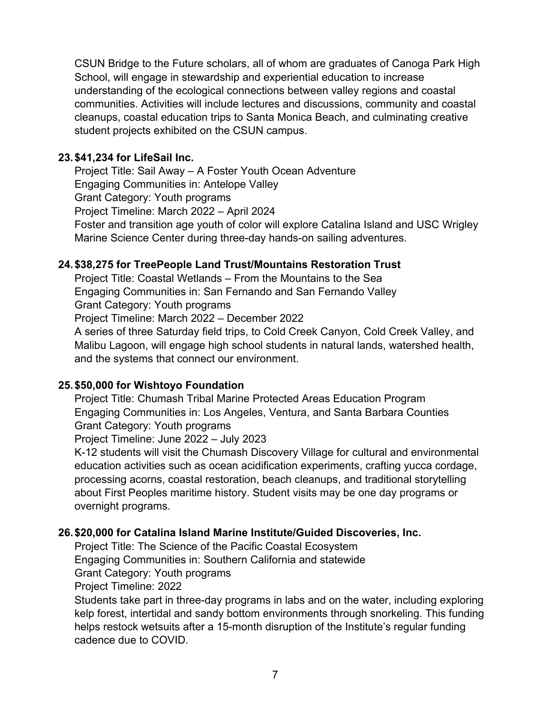CSUN Bridge to the Future scholars, all of whom are graduates of Canoga Park High School, will engage in stewardship and experiential education to increase understanding of the ecological connections between valley regions and coastal communities. Activities will include lectures and discussions, community and coastal cleanups, coastal education trips to Santa Monica Beach, and culminating creative student projects exhibited on the CSUN campus.

### **23.\$41,234 for LifeSail Inc.**

Project Title: Sail Away – A Foster Youth Ocean Adventure Engaging Communities in: Antelope Valley Grant Category: Youth programs Project Timeline: March 2022 – April 2024 Foster and transition age youth of color will explore Catalina Island and USC Wrigley Marine Science Center during three-day hands-on sailing adventures.

## **24.\$38,275 for TreePeople Land Trust/Mountains Restoration Trust**

Project Title: Coastal Wetlands – From the Mountains to the Sea Engaging Communities in: San Fernando and San Fernando Valley Grant Category: Youth programs

Project Timeline: March 2022 – December 2022

A series of three Saturday field trips, to Cold Creek Canyon, Cold Creek Valley, and Malibu Lagoon, will engage high school students in natural lands, watershed health, and the systems that connect our environment.

### **25.\$50,000 for Wishtoyo Foundation**

Project Title: Chumash Tribal Marine Protected Areas Education Program Engaging Communities in: Los Angeles, Ventura, and Santa Barbara Counties Grant Category: Youth programs

Project Timeline: June 2022 – July 2023

K-12 students will visit the Chumash Discovery Village for cultural and environmental education activities such as ocean acidification experiments, crafting yucca cordage, processing acorns, coastal restoration, beach cleanups, and traditional storytelling about First Peoples maritime history. Student visits may be one day programs or overnight programs.

### **26.\$20,000 for Catalina Island Marine Institute/Guided Discoveries, Inc.**

Project Title: The Science of the Pacific Coastal Ecosystem

Engaging Communities in: Southern California and statewide

Grant Category: Youth programs

Project Timeline: 2022

Students take part in three-day programs in labs and on the water, including exploring kelp forest, intertidal and sandy bottom environments through snorkeling. This funding helps restock wetsuits after a 15-month disruption of the Institute's regular funding cadence due to COVID.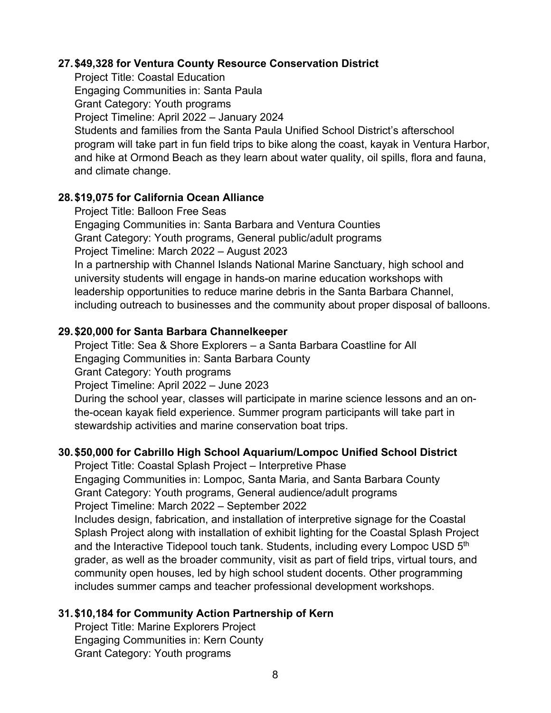#### **27.\$49,328 for Ventura County Resource Conservation District**

Project Title: Coastal Education Engaging Communities in: Santa Paula Grant Category: Youth programs Project Timeline: April 2022 – January 2024 Students and families from the Santa Paula Unified School District's afterschool program will take part in fun field trips to bike along the coast, kayak in Ventura Harbor, and hike at Ormond Beach as they learn about water quality, oil spills, flora and fauna, and climate change.

### **28.\$19,075 for California Ocean Alliance**

Project Title: Balloon Free Seas Engaging Communities in: Santa Barbara and Ventura Counties Grant Category: Youth programs, General public/adult programs Project Timeline: March 2022 – August 2023 In a partnership with Channel Islands National Marine Sanctuary, high school and university students will engage in hands-on marine education workshops with leadership opportunities to reduce marine debris in the Santa Barbara Channel, including outreach to businesses and the community about proper disposal of balloons.

### **29.\$20,000 for Santa Barbara Channelkeeper**

Project Title: Sea & Shore Explorers – a Santa Barbara Coastline for All Engaging Communities in: Santa Barbara County Grant Category: Youth programs Project Timeline: April 2022 – June 2023 During the school year, classes will participate in marine science lessons and an onthe-ocean kayak field experience. Summer program participants will take part in

stewardship activities and marine conservation boat trips.

### **30.\$50,000 for Cabrillo High School Aquarium/Lompoc Unified School District**

Project Title: Coastal Splash Project – Interpretive Phase Engaging Communities in: Lompoc, Santa Maria, and Santa Barbara County Grant Category: Youth programs, General audience/adult programs Project Timeline: March 2022 – September 2022 Includes design, fabrication, and installation of interpretive signage for the Coastal Splash Project along with installation of exhibit lighting for the Coastal Splash Project and the Interactive Tidepool touch tank. Students, including every Lompoc USD 5<sup>th</sup> grader, as well as the broader community, visit as part of field trips, virtual tours, and community open houses, led by high school student docents. Other programming includes summer camps and teacher professional development workshops.

### **31.\$10,184 for Community Action Partnership of Kern**

Project Title: Marine Explorers Project Engaging Communities in: Kern County Grant Category: Youth programs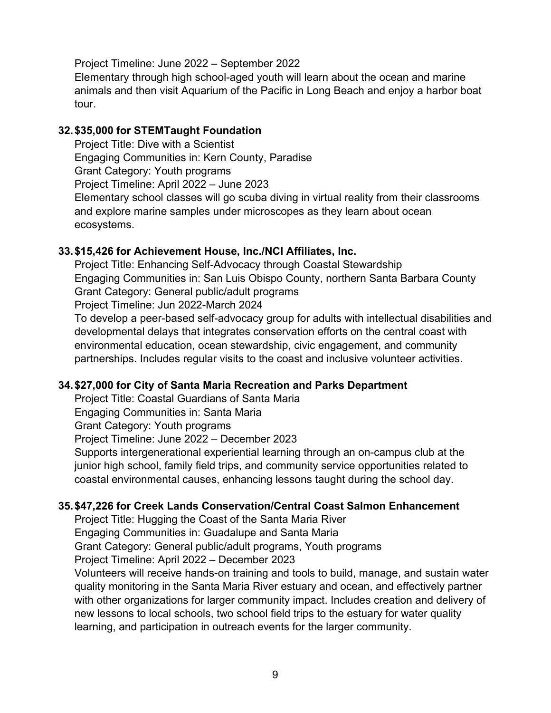Project Timeline: June 2022 – September 2022

Elementary through high school-aged youth will learn about the ocean and marine animals and then visit Aquarium of the Pacific in Long Beach and enjoy a harbor boat tour.

### **32.\$35,000 for STEMTaught Foundation**

Project Title: Dive with a Scientist Engaging Communities in: Kern County, Paradise Grant Category: Youth programs Project Timeline: April 2022 – June 2023 Elementary school classes will go scuba diving in virtual reality from their classrooms and explore marine samples under microscopes as they learn about ocean ecosystems.

## **33.\$15,426 for Achievement House, Inc./NCI Affiliates, Inc.**

Project Title: Enhancing Self-Advocacy through Coastal Stewardship Engaging Communities in: San Luis Obispo County, northern Santa Barbara County Grant Category: General public/adult programs

Project Timeline: Jun 2022-March 2024

To develop a peer-based self-advocacy group for adults with intellectual disabilities and developmental delays that integrates conservation efforts on the central coast with environmental education, ocean stewardship, civic engagement, and community partnerships. Includes regular visits to the coast and inclusive volunteer activities.

# **34.\$27,000 for City of Santa Maria Recreation and Parks Department**

Project Title: Coastal Guardians of Santa Maria

Engaging Communities in: Santa Maria

Grant Category: Youth programs

Project Timeline: June 2022 – December 2023

Supports intergenerational experiential learning through an on-campus club at the junior high school, family field trips, and community service opportunities related to coastal environmental causes, enhancing lessons taught during the school day.

### **35.\$47,226 for Creek Lands Conservation/Central Coast Salmon Enhancement**

Project Title: Hugging the Coast of the Santa Maria River Engaging Communities in: Guadalupe and Santa Maria Grant Category: General public/adult programs, Youth programs Project Timeline: April 2022 – December 2023

Volunteers will receive hands-on training and tools to build, manage, and sustain water quality monitoring in the Santa Maria River estuary and ocean, and effectively partner with other organizations for larger community impact. Includes creation and delivery of new lessons to local schools, two school field trips to the estuary for water quality learning, and participation in outreach events for the larger community.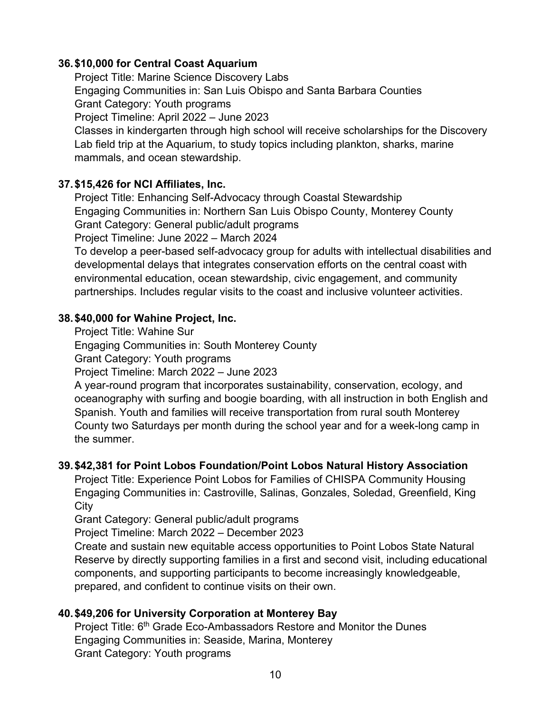## **36.\$10,000 for Central Coast Aquarium**

Project Title: Marine Science Discovery Labs Engaging Communities in: San Luis Obispo and Santa Barbara Counties Grant Category: Youth programs Project Timeline: April 2022 – June 2023 Classes in kindergarten through high school will receive scholarships for the Discovery Lab field trip at the Aquarium, to study topics including plankton, sharks, marine mammals, and ocean stewardship.

## **37.\$15,426 for NCI Affiliates, Inc.**

Project Title: Enhancing Self-Advocacy through Coastal Stewardship Engaging Communities in: Northern San Luis Obispo County, Monterey County Grant Category: General public/adult programs

Project Timeline: June 2022 – March 2024

To develop a peer-based self-advocacy group for adults with intellectual disabilities and developmental delays that integrates conservation efforts on the central coast with environmental education, ocean stewardship, civic engagement, and community partnerships. Includes regular visits to the coast and inclusive volunteer activities.

## **38.\$40,000 for Wahine Project, Inc.**

Project Title: Wahine Sur

Engaging Communities in: South Monterey County

Grant Category: Youth programs

Project Timeline: March 2022 – June 2023

A year-round program that incorporates sustainability, conservation, ecology, and oceanography with surfing and boogie boarding, with all instruction in both English and Spanish. Youth and families will receive transportation from rural south Monterey County two Saturdays per month during the school year and for a week-long camp in the summer.

### **39.\$42,381 for Point Lobos Foundation/Point Lobos Natural History Association**

Project Title: Experience Point Lobos for Families of CHISPA Community Housing Engaging Communities in: Castroville, Salinas, Gonzales, Soledad, Greenfield, King **City** 

Grant Category: General public/adult programs

Project Timeline: March 2022 – December 2023

Create and sustain new equitable access opportunities to Point Lobos State Natural Reserve by directly supporting families in a first and second visit, including educational components, and supporting participants to become increasingly knowledgeable, prepared, and confident to continue visits on their own.

# **40.\$49,206 for University Corporation at Monterey Bay**

Project Title: 6<sup>th</sup> Grade Eco-Ambassadors Restore and Monitor the Dunes Engaging Communities in: Seaside, Marina, Monterey Grant Category: Youth programs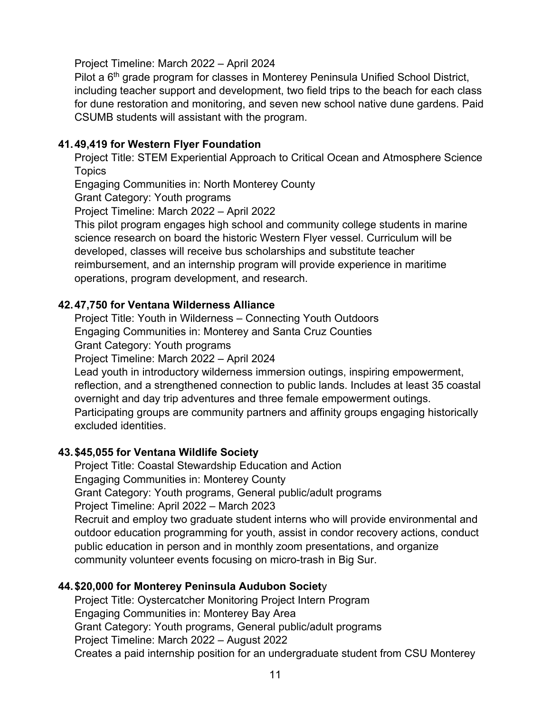Project Timeline: March 2022 – April 2024

Pilot a 6<sup>th</sup> grade program for classes in Monterey Peninsula Unified School District, including teacher support and development, two field trips to the beach for each class for dune restoration and monitoring, and seven new school native dune gardens. Paid CSUMB students will assistant with the program.

### **41.49,419 for Western Flyer Foundation**

Project Title: STEM Experiential Approach to Critical Ocean and Atmosphere Science **Topics** 

Engaging Communities in: North Monterey County

Grant Category: Youth programs

Project Timeline: March 2022 – April 2022

This pilot program engages high school and community college students in marine science research on board the historic Western Flyer vessel. Curriculum will be developed, classes will receive bus scholarships and substitute teacher reimbursement, and an internship program will provide experience in maritime operations, program development, and research.

### **42.47,750 for Ventana Wilderness Alliance**

Project Title: Youth in Wilderness – Connecting Youth Outdoors

Engaging Communities in: Monterey and Santa Cruz Counties

Grant Category: Youth programs

Project Timeline: March 2022 – April 2024

Lead youth in introductory wilderness immersion outings, inspiring empowerment, reflection, and a strengthened connection to public lands. Includes at least 35 coastal overnight and day trip adventures and three female empowerment outings. Participating groups are community partners and affinity groups engaging historically excluded identities.

### **43.\$45,055 for Ventana Wildlife Society**

Project Title: Coastal Stewardship Education and Action Engaging Communities in: Monterey County Grant Category: Youth programs, General public/adult programs Project Timeline: April 2022 – March 2023 Recruit and employ two graduate student interns who will provide environmental and outdoor education programming for youth, assist in condor recovery actions, conduct public education in person and in monthly zoom presentations, and organize community volunteer events focusing on micro-trash in Big Sur.

### **44.\$20,000 for Monterey Peninsula Audubon Societ**y

Project Title: Oystercatcher Monitoring Project Intern Program Engaging Communities in: Monterey Bay Area Grant Category: Youth programs, General public/adult programs Project Timeline: March 2022 – August 2022 Creates a paid internship position for an undergraduate student from CSU Monterey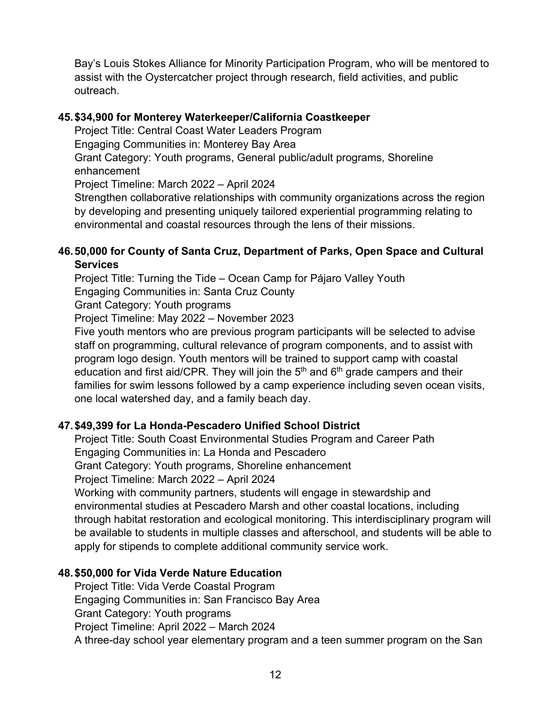Bay's Louis Stokes Alliance for Minority Participation Program, who will be mentored to assist with the Oystercatcher project through research, field activities, and public outreach.

### **45.\$34,900 for Monterey Waterkeeper/California Coastkeeper**

Project Title: Central Coast Water Leaders Program Engaging Communities in: Monterey Bay Area Grant Category: Youth programs, General public/adult programs, Shoreline enhancement Project Timeline: March 2022 – April 2024

Strengthen collaborative relationships with community organizations across the region by developing and presenting uniquely tailored experiential programming relating to environmental and coastal resources through the lens of their missions.

## **46.50,000 for County of Santa Cruz, Department of Parks, Open Space and Cultural Services**

Project Title: Turning the Tide – Ocean Camp for Pájaro Valley Youth Engaging Communities in: Santa Cruz County Grant Category: Youth programs

Project Timeline: May 2022 – November 2023

Five youth mentors who are previous program participants will be selected to advise staff on programming, cultural relevance of program components, and to assist with program logo design. Youth mentors will be trained to support camp with coastal education and first aid/CPR. They will join the  $5<sup>th</sup>$  and  $6<sup>th</sup>$  grade campers and their families for swim lessons followed by a camp experience including seven ocean visits, one local watershed day, and a family beach day.

# **47.\$49,399 for La Honda-Pescadero Unified School District**

Project Title: South Coast Environmental Studies Program and Career Path Engaging Communities in: La Honda and Pescadero Grant Category: Youth programs, Shoreline enhancement Project Timeline: March 2022 – April 2024 Working with community partners, students will engage in stewardship and environmental studies at Pescadero Marsh and other coastal locations, including through habitat restoration and ecological monitoring. This interdisciplinary program will be available to students in multiple classes and afterschool, and students will be able to apply for stipends to complete additional community service work.

# **48.\$50,000 for Vida Verde Nature Education**

Project Title: Vida Verde Coastal Program Engaging Communities in: San Francisco Bay Area Grant Category: Youth programs Project Timeline: April 2022 – March 2024 A three-day school year elementary program and a teen summer program on the San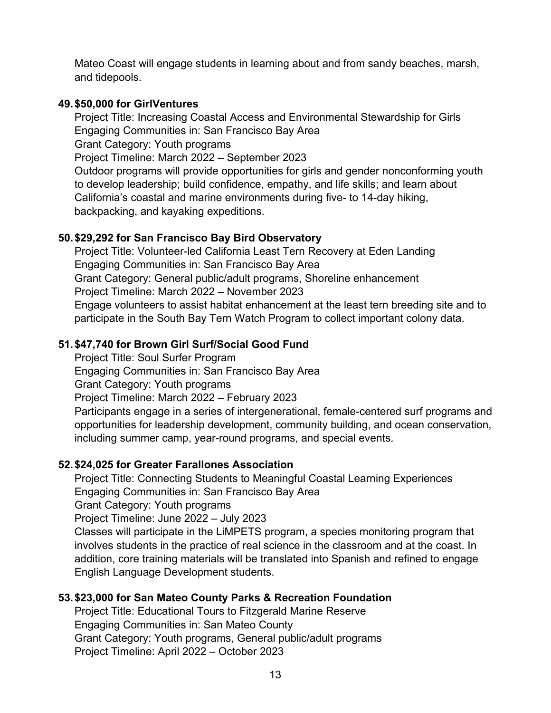Mateo Coast will engage students in learning about and from sandy beaches, marsh, and tidepools.

### **49.\$50,000 for GirlVentures**

Project Title: Increasing Coastal Access and Environmental Stewardship for Girls Engaging Communities in: San Francisco Bay Area

Grant Category: Youth programs

Project Timeline: March 2022 – September 2023

Outdoor programs will provide opportunities for girls and gender nonconforming youth to develop leadership; build confidence, empathy, and life skills; and learn about California's coastal and marine environments during five- to 14-day hiking, backpacking, and kayaking expeditions.

## **50.\$29,292 for San Francisco Bay Bird Observatory**

Project Title: Volunteer-led California Least Tern Recovery at Eden Landing Engaging Communities in: San Francisco Bay Area Grant Category: General public/adult programs, Shoreline enhancement Project Timeline: March 2022 – November 2023 Engage volunteers to assist habitat enhancement at the least tern breeding site and to participate in the South Bay Tern Watch Program to collect important colony data.

# **51.\$47,740 for Brown Girl Surf/Social Good Fund**

Project Title: Soul Surfer Program Engaging Communities in: San Francisco Bay Area

Grant Category: Youth programs

Project Timeline: March 2022 – February 2023

Participants engage in a series of intergenerational, female-centered surf programs and opportunities for leadership development, community building, and ocean conservation, including summer camp, year-round programs, and special events.

# **52.\$24,025 for Greater Farallones Association**

Project Title: Connecting Students to Meaningful Coastal Learning Experiences Engaging Communities in: San Francisco Bay Area

Grant Category: Youth programs

Project Timeline: June 2022 – July 2023

Classes will participate in the LiMPETS program, a species monitoring program that involves students in the practice of real science in the classroom and at the coast. In addition, core training materials will be translated into Spanish and refined to engage English Language Development students.

# **53.\$23,000 for San Mateo County Parks & Recreation Foundation**

Project Title: Educational Tours to Fitzgerald Marine Reserve Engaging Communities in: San Mateo County Grant Category: Youth programs, General public/adult programs Project Timeline: April 2022 – October 2023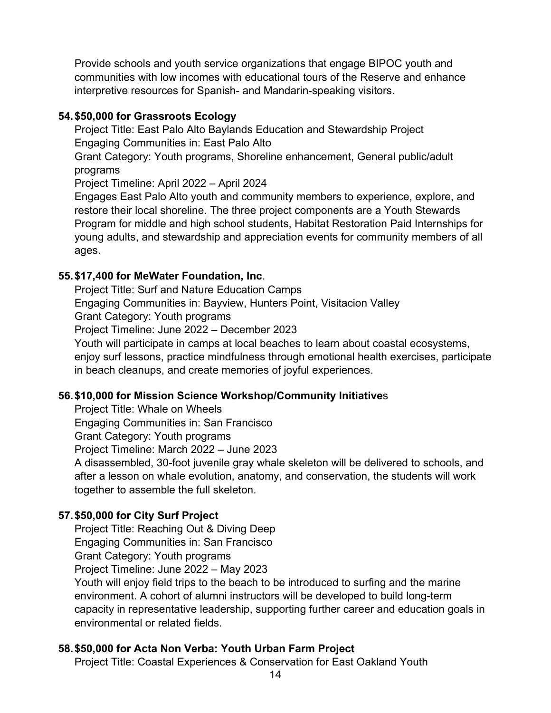Provide schools and youth service organizations that engage BIPOC youth and communities with low incomes with educational tours of the Reserve and enhance interpretive resources for Spanish- and Mandarin-speaking visitors.

#### **54.\$50,000 for Grassroots Ecology**

Project Title: East Palo Alto Baylands Education and Stewardship Project Engaging Communities in: East Palo Alto

Grant Category: Youth programs, Shoreline enhancement, General public/adult programs

Project Timeline: April 2022 – April 2024

Engages East Palo Alto youth and community members to experience, explore, and restore their local shoreline. The three project components are a Youth Stewards Program for middle and high school students, Habitat Restoration Paid Internships for young adults, and stewardship and appreciation events for community members of all ages.

#### **55.\$17,400 for MeWater Foundation, Inc**.

Project Title: Surf and Nature Education Camps Engaging Communities in: Bayview, Hunters Point, Visitacion Valley

Grant Category: Youth programs

Project Timeline: June 2022 – December 2023

Youth will participate in camps at local beaches to learn about coastal ecosystems, enjoy surf lessons, practice mindfulness through emotional health exercises, participate in beach cleanups, and create memories of joyful experiences.

### **56.\$10,000 for Mission Science Workshop/Community Initiative**s

Project Title: Whale on Wheels

Engaging Communities in: San Francisco

Grant Category: Youth programs

Project Timeline: March 2022 – June 2023

A disassembled, 30-foot juvenile gray whale skeleton will be delivered to schools, and after a lesson on whale evolution, anatomy, and conservation, the students will work together to assemble the full skeleton.

### **57.\$50,000 for City Surf Project**

Project Title: Reaching Out & Diving Deep

Engaging Communities in: San Francisco

Grant Category: Youth programs

Project Timeline: June 2022 – May 2023

Youth will enjoy field trips to the beach to be introduced to surfing and the marine environment. A cohort of alumni instructors will be developed to build long-term capacity in representative leadership, supporting further career and education goals in environmental or related fields.

### **58.\$50,000 for Acta Non Verba: Youth Urban Farm Project**

Project Title: Coastal Experiences & Conservation for East Oakland Youth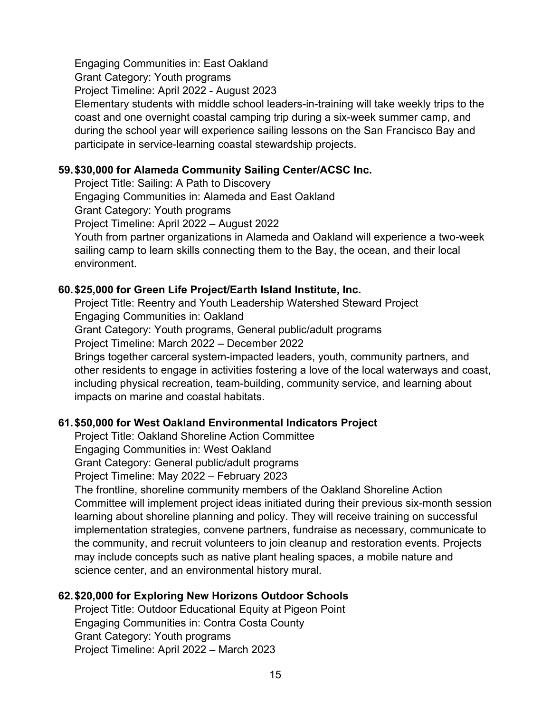Engaging Communities in: East Oakland Grant Category: Youth programs Project Timeline: April 2022 - August 2023 Elementary students with middle school leaders-in-training will take weekly trips to the coast and one overnight coastal camping trip during a six-week summer camp, and during the school year will experience sailing lessons on the San Francisco Bay and participate in service-learning coastal stewardship projects.

#### **59.\$30,000 for Alameda Community Sailing Center/ACSC Inc.**

Project Title: Sailing: A Path to Discovery

Engaging Communities in: Alameda and East Oakland

Grant Category: Youth programs

Project Timeline: April 2022 – August 2022

Youth from partner organizations in Alameda and Oakland will experience a two-week sailing camp to learn skills connecting them to the Bay, the ocean, and their local environment.

#### **60.\$25,000 for Green Life Project/Earth Island Institute, Inc.**

Project Title: Reentry and Youth Leadership Watershed Steward Project Engaging Communities in: Oakland Grant Category: Youth programs, General public/adult programs Project Timeline: March 2022 – December 2022 Brings together carceral system-impacted leaders, youth, community partners, and other residents to engage in activities fostering a love of the local waterways and coast, including physical recreation, team-building, community service, and learning about impacts on marine and coastal habitats.

### **61.\$50,000 for West Oakland Environmental Indicators Project**

Project Title: Oakland Shoreline Action Committee Engaging Communities in: West Oakland Grant Category: General public/adult programs Project Timeline: May 2022 – February 2023 The frontline, shoreline community members of the Oakland Shoreline Action Committee will implement project ideas initiated during their previous six-month session learning about shoreline planning and policy. They will receive training on successful implementation strategies, convene partners, fundraise as necessary, communicate to the community, and recruit volunteers to join cleanup and restoration events. Projects may include concepts such as native plant healing spaces, a mobile nature and science center, and an environmental history mural.

#### **62.\$20,000 for Exploring New Horizons Outdoor Schools**

Project Title: Outdoor Educational Equity at Pigeon Point Engaging Communities in: Contra Costa County Grant Category: Youth programs Project Timeline: April 2022 – March 2023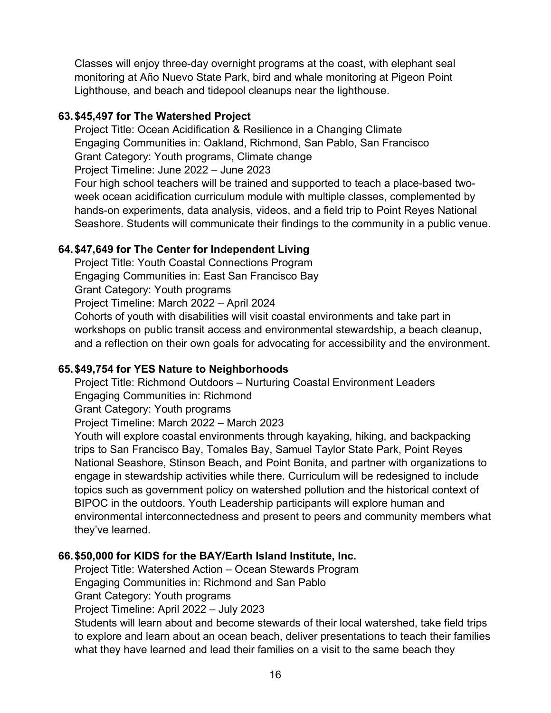Classes will enjoy three-day overnight programs at the coast, with elephant seal monitoring at Año Nuevo State Park, bird and whale monitoring at Pigeon Point Lighthouse, and beach and tidepool cleanups near the lighthouse.

### **63.\$45,497 for The Watershed Project**

Project Title: Ocean Acidification & Resilience in a Changing Climate Engaging Communities in: Oakland, Richmond, San Pablo, San Francisco Grant Category: Youth programs, Climate change Project Timeline: June 2022 – June 2023

Four high school teachers will be trained and supported to teach a place-based twoweek ocean acidification curriculum module with multiple classes, complemented by hands-on experiments, data analysis, videos, and a field trip to Point Reyes National Seashore. Students will communicate their findings to the community in a public venue.

### **64.\$47,649 for The Center for Independent Living**

Project Title: Youth Coastal Connections Program Engaging Communities in: East San Francisco Bay Grant Category: Youth programs Project Timeline: March 2022 – April 2024 Cohorts of youth with disabilities will visit coastal environments and take part in workshops on public transit access and environmental stewardship, a beach cleanup, and a reflection on their own goals for advocating for accessibility and the environment.

# **65.\$49,754 for YES Nature to Neighborhoods**

Project Title: Richmond Outdoors – Nurturing Coastal Environment Leaders Engaging Communities in: Richmond Grant Category: Youth programs

Project Timeline: March 2022 – March 2023

Youth will explore coastal environments through kayaking, hiking, and backpacking trips to San Francisco Bay, Tomales Bay, Samuel Taylor State Park, Point Reyes National Seashore, Stinson Beach, and Point Bonita, and partner with organizations to engage in stewardship activities while there. Curriculum will be redesigned to include topics such as government policy on watershed pollution and the historical context of BIPOC in the outdoors. Youth Leadership participants will explore human and environmental interconnectedness and present to peers and community members what they've learned.

### **66.\$50,000 for KIDS for the BAY/Earth Island Institute, Inc.**

Project Title: Watershed Action – Ocean Stewards Program Engaging Communities in: Richmond and San Pablo Grant Category: Youth programs Project Timeline: April 2022 – July 2023

Students will learn about and become stewards of their local watershed, take field trips to explore and learn about an ocean beach, deliver presentations to teach their families what they have learned and lead their families on a visit to the same beach they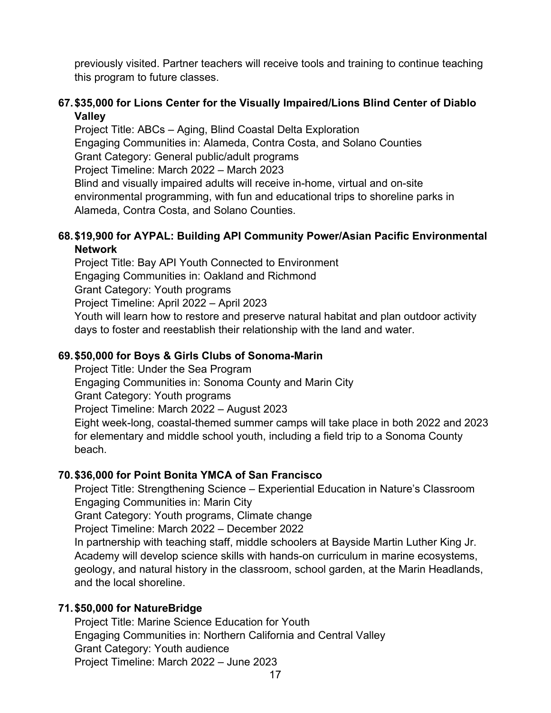previously visited. Partner teachers will receive tools and training to continue teaching this program to future classes.

## **67.\$35,000 for Lions Center for the Visually Impaired/Lions Blind Center of Diablo Valley**

Project Title: ABCs – Aging, Blind Coastal Delta Exploration Engaging Communities in: Alameda, Contra Costa, and Solano Counties Grant Category: General public/adult programs Project Timeline: March 2022 – March 2023 Blind and visually impaired adults will receive in-home, virtual and on-site environmental programming, with fun and educational trips to shoreline parks in Alameda, Contra Costa, and Solano Counties.

#### **68.\$19,900 for AYPAL: Building API Community Power/Asian Pacific Environmental Network**

Project Title: Bay API Youth Connected to Environment Engaging Communities in: Oakland and Richmond Grant Category: Youth programs Project Timeline: April 2022 – April 2023 Youth will learn how to restore and preserve natural habitat and plan outdoor activity days to foster and reestablish their relationship with the land and water.

### **69.\$50,000 for Boys & Girls Clubs of Sonoma-Marin**

Project Title: Under the Sea Program

Engaging Communities in: Sonoma County and Marin City

Grant Category: Youth programs

Project Timeline: March 2022 – August 2023

Eight week-long, coastal-themed summer camps will take place in both 2022 and 2023 for elementary and middle school youth, including a field trip to a Sonoma County beach.

### **70.\$36,000 for Point Bonita YMCA of San Francisco**

Project Title: Strengthening Science – Experiential Education in Nature's Classroom Engaging Communities in: Marin City Grant Category: Youth programs, Climate change Project Timeline: March 2022 – December 2022 In partnership with teaching staff, middle schoolers at Bayside Martin Luther King Jr. Academy will develop science skills with hands-on curriculum in marine ecosystems,

geology, and natural history in the classroom, school garden, at the Marin Headlands, and the local shoreline.

### **71.\$50,000 for NatureBridge**

Project Title: Marine Science Education for Youth Engaging Communities in: Northern California and Central Valley Grant Category: Youth audience Project Timeline: March 2022 – June 2023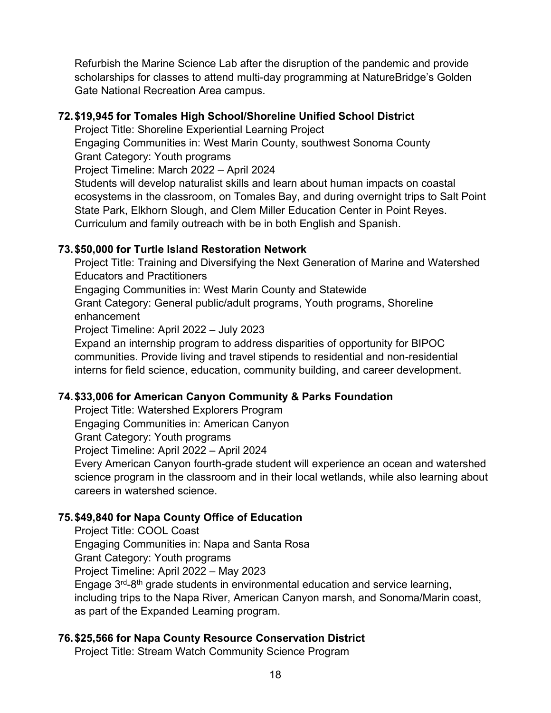Refurbish the Marine Science Lab after the disruption of the pandemic and provide scholarships for classes to attend multi-day programming at NatureBridge's Golden Gate National Recreation Area campus.

### **72.\$19,945 for Tomales High School/Shoreline Unified School District**

Project Title: Shoreline Experiential Learning Project

Engaging Communities in: West Marin County, southwest Sonoma County Grant Category: Youth programs

Project Timeline: March 2022 – April 2024

Students will develop naturalist skills and learn about human impacts on coastal ecosystems in the classroom, on Tomales Bay, and during overnight trips to Salt Point State Park, Elkhorn Slough, and Clem Miller Education Center in Point Reyes. Curriculum and family outreach with be in both English and Spanish.

# **73.\$50,000 for Turtle Island Restoration Network**

Project Title: Training and Diversifying the Next Generation of Marine and Watershed Educators and Practitioners

Engaging Communities in: West Marin County and Statewide

Grant Category: General public/adult programs, Youth programs, Shoreline enhancement

Project Timeline: April 2022 – July 2023

Expand an internship program to address disparities of opportunity for BIPOC communities. Provide living and travel stipends to residential and non-residential interns for field science, education, community building, and career development.

# **74.\$33,006 for American Canyon Community & Parks Foundation**

Project Title: Watershed Explorers Program

Engaging Communities in: American Canyon

Grant Category: Youth programs

Project Timeline: April 2022 – April 2024

Every American Canyon fourth-grade student will experience an ocean and watershed science program in the classroom and in their local wetlands, while also learning about careers in watershed science.

# **75.\$49,840 for Napa County Office of Education**

Project Title: COOL Coast Engaging Communities in: Napa and Santa Rosa Grant Category: Youth programs Project Timeline: April 2022 – May 2023 Engage 3rd-8th grade students in environmental education and service learning, including trips to the Napa River, American Canyon marsh, and Sonoma/Marin coast, as part of the Expanded Learning program.

# **76.\$25,566 for Napa County Resource Conservation District**

Project Title: Stream Watch Community Science Program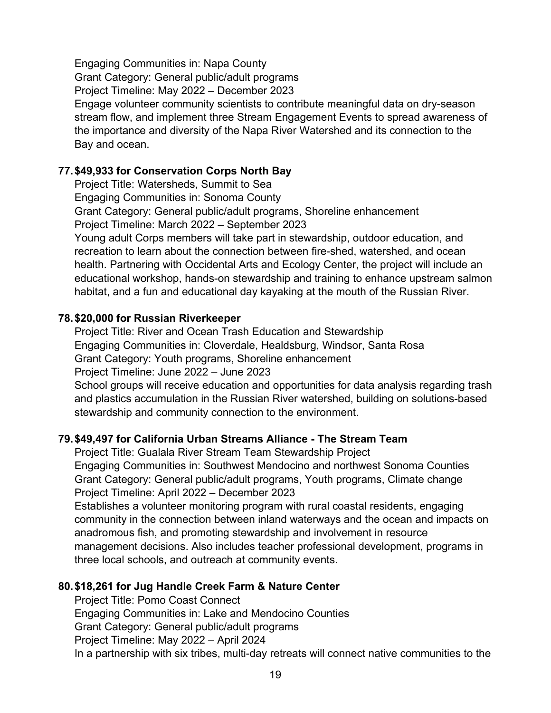Engaging Communities in: Napa County Grant Category: General public/adult programs Project Timeline: May 2022 – December 2023 Engage volunteer community scientists to contribute meaningful data on dry-season stream flow, and implement three Stream Engagement Events to spread awareness of the importance and diversity of the Napa River Watershed and its connection to the Bay and ocean.

### **77.\$49,933 for Conservation Corps North Bay**

Project Title: Watersheds, Summit to Sea Engaging Communities in: Sonoma County Grant Category: General public/adult programs, Shoreline enhancement Project Timeline: March 2022 – September 2023 Young adult Corps members will take part in stewardship, outdoor education, and recreation to learn about the connection between fire-shed, watershed, and ocean health. Partnering with Occidental Arts and Ecology Center, the project will include an educational workshop, hands-on stewardship and training to enhance upstream salmon habitat, and a fun and educational day kayaking at the mouth of the Russian River.

### **78.\$20,000 for Russian Riverkeeper**

Project Title: River and Ocean Trash Education and Stewardship Engaging Communities in: Cloverdale, Healdsburg, Windsor, Santa Rosa Grant Category: Youth programs, Shoreline enhancement Project Timeline: June 2022 – June 2023

School groups will receive education and opportunities for data analysis regarding trash and plastics accumulation in the Russian River watershed, building on solutions-based stewardship and community connection to the environment.

### **79.\$49,497 for California Urban Streams Alliance - The Stream Team**

Project Title: Gualala River Stream Team Stewardship Project Engaging Communities in: Southwest Mendocino and northwest Sonoma Counties Grant Category: General public/adult programs, Youth programs, Climate change Project Timeline: April 2022 – December 2023

Establishes a volunteer monitoring program with rural coastal residents, engaging community in the connection between inland waterways and the ocean and impacts on anadromous fish, and promoting stewardship and involvement in resource management decisions. Also includes teacher professional development, programs in three local schools, and outreach at community events.

### **80.\$18,261 for Jug Handle Creek Farm & Nature Center**

Project Title: Pomo Coast Connect Engaging Communities in: Lake and Mendocino Counties Grant Category: General public/adult programs Project Timeline: May 2022 – April 2024 In a partnership with six tribes, multi-day retreats will connect native communities to the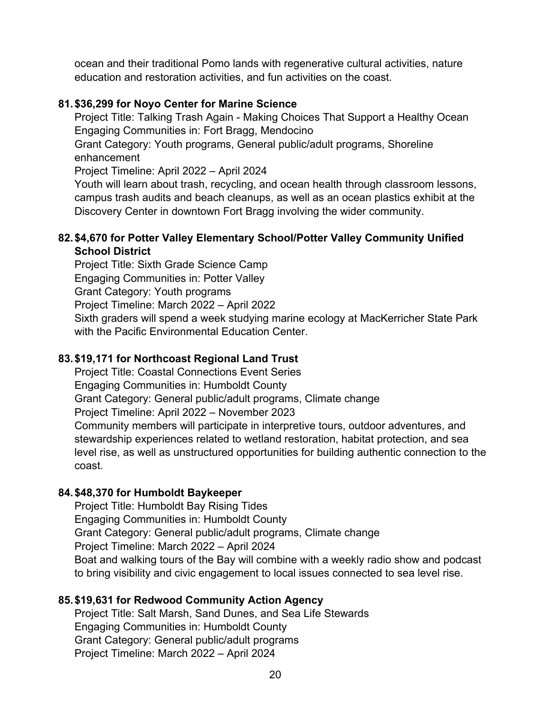ocean and their traditional Pomo lands with regenerative cultural activities, nature education and restoration activities, and fun activities on the coast.

## **81.\$36,299 for Noyo Center for Marine Science**

Project Title: Talking Trash Again - Making Choices That Support a Healthy Ocean Engaging Communities in: Fort Bragg, Mendocino

Grant Category: Youth programs, General public/adult programs, Shoreline enhancement

Project Timeline: April 2022 – April 2024

Youth will learn about trash, recycling, and ocean health through classroom lessons, campus trash audits and beach cleanups, as well as an ocean plastics exhibit at the Discovery Center in downtown Fort Bragg involving the wider community.

## **82.\$4,670 for Potter Valley Elementary School/Potter Valley Community Unified School District**

Project Title: Sixth Grade Science Camp Engaging Communities in: Potter Valley Grant Category: Youth programs Project Timeline: March 2022 – April 2022 Sixth graders will spend a week studying marine ecology at MacKerricher State Park with the Pacific Environmental Education Center.

# **83.\$19,171 for Northcoast Regional Land Trust**

Project Title: Coastal Connections Event Series Engaging Communities in: Humboldt County Grant Category: General public/adult programs, Climate change Project Timeline: April 2022 – November 2023 Community members will participate in interpretive tours, outdoor adventures, and stewardship experiences related to wetland restoration, habitat protection, and sea level rise, as well as unstructured opportunities for building authentic connection to the coast.

# **84.\$48,370 for Humboldt Baykeeper**

Project Title: Humboldt Bay Rising Tides Engaging Communities in: Humboldt County Grant Category: General public/adult programs, Climate change Project Timeline: March 2022 – April 2024 Boat and walking tours of the Bay will combine with a weekly radio show and podcast to bring visibility and civic engagement to local issues connected to sea level rise.

# **85.\$19,631 for Redwood Community Action Agency**

Project Title: Salt Marsh, Sand Dunes, and Sea Life Stewards Engaging Communities in: Humboldt County Grant Category: General public/adult programs Project Timeline: March 2022 – April 2024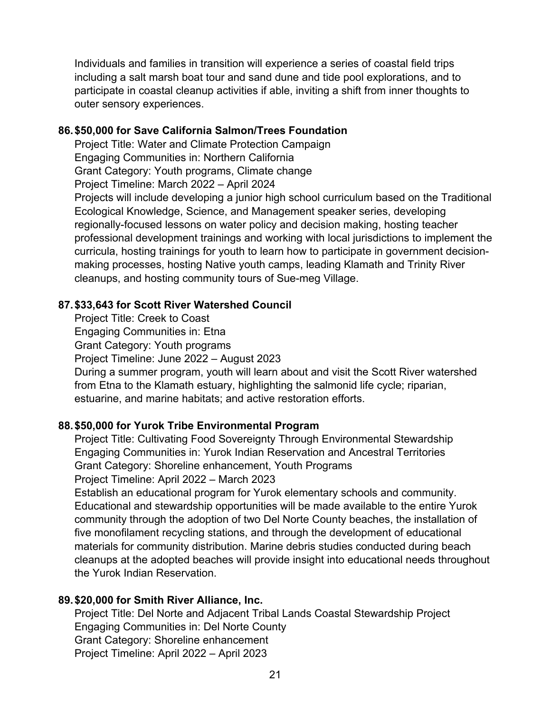Individuals and families in transition will experience a series of coastal field trips including a salt marsh boat tour and sand dune and tide pool explorations, and to participate in coastal cleanup activities if able, inviting a shift from inner thoughts to outer sensory experiences.

#### **86.\$50,000 for Save California Salmon/Trees Foundation**

Project Title: Water and Climate Protection Campaign Engaging Communities in: Northern California

Grant Category: Youth programs, Climate change

Project Timeline: March 2022 – April 2024

Projects will include developing a junior high school curriculum based on the Traditional Ecological Knowledge, Science, and Management speaker series, developing regionally-focused lessons on water policy and decision making, hosting teacher professional development trainings and working with local jurisdictions to implement the curricula, hosting trainings for youth to learn how to participate in government decisionmaking processes, hosting Native youth camps, leading Klamath and Trinity River cleanups, and hosting community tours of Sue-meg Village.

## **87.\$33,643 for Scott River Watershed Council**

Project Title: Creek to Coast Engaging Communities in: Etna Grant Category: Youth programs Project Timeline: June 2022 – August 2023 During a summer program, youth will learn about and visit the Scott River watershed from Etna to the Klamath estuary, highlighting the salmonid life cycle; riparian, estuarine, and marine habitats; and active restoration efforts.

### **88.\$50,000 for Yurok Tribe Environmental Program**

Project Title: Cultivating Food Sovereignty Through Environmental Stewardship Engaging Communities in: Yurok Indian Reservation and Ancestral Territories Grant Category: Shoreline enhancement, Youth Programs Project Timeline: April 2022 – March 2023

Establish an educational program for Yurok elementary schools and community. Educational and stewardship opportunities will be made available to the entire Yurok community through the adoption of two Del Norte County beaches, the installation of five monofilament recycling stations, and through the development of educational materials for community distribution. Marine debris studies conducted during beach cleanups at the adopted beaches will provide insight into educational needs throughout the Yurok Indian Reservation.

# **89.\$20,000 for Smith River Alliance, Inc.**

Project Title: Del Norte and Adjacent Tribal Lands Coastal Stewardship Project Engaging Communities in: Del Norte County Grant Category: Shoreline enhancement Project Timeline: April 2022 – April 2023